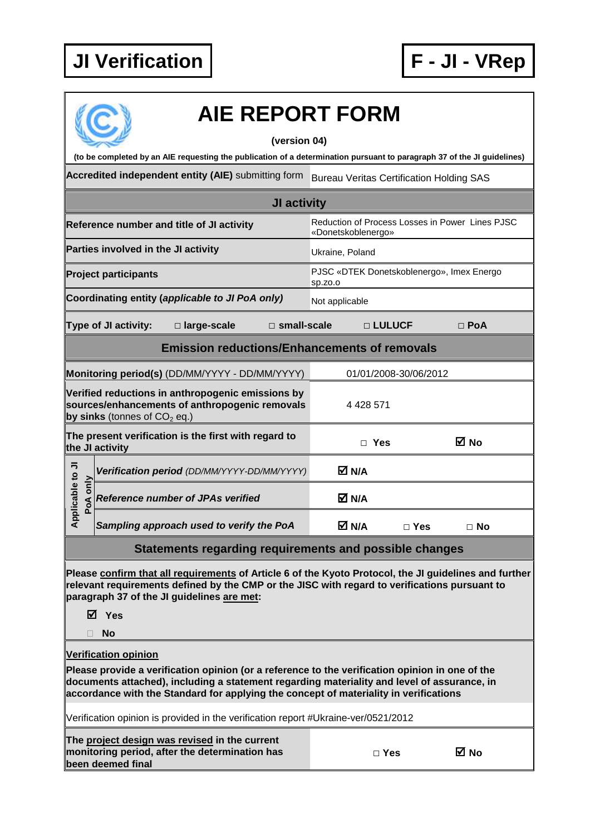

## **AIE REPORT FORM**

## **(version 04)**

**(to be completed by an AIE requesting the publication of a determination pursuant to paragraph 37 of the JI guidelines)** 

**Accredited independent entity (AIE)** submitting form Bureau Veritas Certification Holding SAS

|                                                                                                                                       |  |                                             | <b>JI activity</b>                                                    |                                                      |              |           |  |
|---------------------------------------------------------------------------------------------------------------------------------------|--|---------------------------------------------|-----------------------------------------------------------------------|------------------------------------------------------|--------------|-----------|--|
| Reference number and title of JI activity                                                                                             |  |                                             | Reduction of Process Losses in Power Lines PJSC<br>«Donetskoblenergo» |                                                      |              |           |  |
| Parties involved in the JI activity                                                                                                   |  |                                             | Ukraine, Poland                                                       |                                                      |              |           |  |
| <b>Project participants</b>                                                                                                           |  |                                             |                                                                       | PJSC «DTEK Donetskoblenergo», Imex Energo<br>Sp.ZO.O |              |           |  |
| Coordinating entity (applicable to JI PoA only)                                                                                       |  |                                             |                                                                       | Not applicable                                       |              |           |  |
| <b>Type of JI activity:</b><br>□ large-scale<br>$\square$ small-scale                                                                 |  |                                             |                                                                       | □ LULUCF                                             | $\Box$ PoA   |           |  |
| <b>Emission reductions/Enhancements of removals</b>                                                                                   |  |                                             |                                                                       |                                                      |              |           |  |
| Monitoring period(s) (DD/MM/YYYY - DD/MM/YYYY)                                                                                        |  |                                             | 01/01/2008-30/06/2012                                                 |                                                      |              |           |  |
| Verified reductions in anthropogenic emissions by<br>sources/enhancements of anthropogenic removals<br>by sinks (tonnes of $CO2$ eq.) |  |                                             | 4 4 28 5 71                                                           |                                                      |              |           |  |
| The present verification is the first with regard to<br>the JI activity                                                               |  |                                             | Yes<br>П                                                              |                                                      | ⊠ No         |           |  |
| Applicable to JI<br>only<br>PoA                                                                                                       |  | Verification period (DD/MM/YYYY-DD/MM/YYYY) |                                                                       | M N/A                                                |              |           |  |
|                                                                                                                                       |  | <b>Reference number of JPAs verified</b>    |                                                                       | M N/A                                                |              |           |  |
|                                                                                                                                       |  | Sampling approach used to verify the PoA    |                                                                       | M N/A                                                | $\sqcap$ Yes | $\Box$ No |  |

## **Statements regarding requirements and possible changes**

**Please confirm that all requirements of Article 6 of the Kyoto Protocol, the JI guidelines and further relevant requirements defined by the CMP or the JISC with regard to verifications pursuant to paragraph 37 of the JI guidelines are met:** 

**Yes** 

**No** 

**Verification opinion**

**Please provide a verification opinion (or a reference to the verification opinion in one of the documents attached), including a statement regarding materiality and level of assurance, in accordance with the Standard for applying the concept of materiality in verifications** 

Verification opinion is provided in the verification report #Ukraine-ver/0521/2012

| The project design was revised in the current  |
|------------------------------------------------|
| monitoring period, after the determination has |
| been deemed final                              |